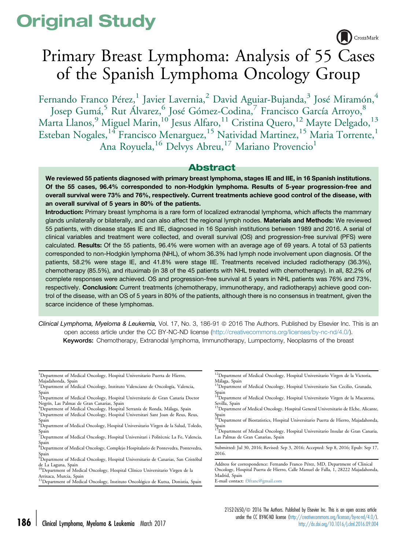# Original Study

CrossMark

# Primary Breast Lymphoma: Analysis of 55 Cases of the Spanish Lymphoma Oncology Group

Fernando Franco Pérez,<sup>1</sup> Javier Lavernia,<sup>2</sup> David Aguiar-Bujanda,<sup>3</sup> José Miramón,<sup>4</sup> Josep Gumá,<sup>5</sup> Rut Álvarez,<sup>6</sup> José Gómez-Codina,<sup>7</sup> Francisco García Arroyo,<sup>8</sup> Marta Llanos, $^9$  Miguel Marin, $^{10^{\circ}}$ Jesus Alfaro, $^{11}$  Cristina Quero, $^{12}$  Mayte Delgado, $^{13}$ Esteban Nogales,<sup>14</sup> Francisco Menarguez,<sup>15</sup> Natividad Martinez,<sup>15</sup> Maria Torrente,<sup>1</sup> Ana Royuela, <sup>16</sup> Delvys Abreu, <sup>17</sup> Mariano Provencio<sup>1</sup>

# Abstract

We reviewed 55 patients diagnosed with primary breast lymphoma, stages IE and IIE, in 16 Spanish institutions. Of the 55 cases, 96.4% corresponded to non-Hodgkin lymphoma. Results of 5-year progression-free and overall survival were 73% and 76%, respectively. Current treatments achieve good control of the disease, with an overall survival of 5 years in 80% of the patients.

Introduction: Primary breast lymphoma is a rare form of localized extranodal lymphoma, which affects the mammary glands unilaterally or bilaterally, and can also affect the regional lymph nodes. Materials and Methods: We reviewed 55 patients, with disease stages IE and IIE, diagnosed in 16 Spanish institutions between 1989 and 2016. A serial of clinical variables and treatment were collected, and overall survival (OS) and progression-free survival (PFS) were calculated. Results: Of the 55 patients, 96.4% were women with an average age of 69 years. A total of 53 patients corresponded to non-Hodgkin lymphoma (NHL), of whom 36.3% had lymph node involvement upon diagnosis. Of the patients, 58.2% were stage IE, and 41.8% were stage IIE. Treatments received included radiotherapy (36.3%), chemotherapy (85.5%), and rituximab (in 38 of the 45 patients with NHL treated with chemotherapy). In all, 82.2% of complete responses were achieved. OS and progression-free survival at 5 years in NHL patients was 76% and 73%, respectively. Conclusion: Current treatments (chemotherapy, immunotherapy, and radiotherapy) achieve good control of the disease, with an OS of 5 years in 80% of the patients, although there is no consensus in treatment, given the scarce incidence of these lymphomas.

Clinical Lymphoma, Myeloma & Leukemia, Vol. 17, No. 3, 186-91 @ 2016 The Authors. Published by Elsevier Inc. This is an open access article under the CC BY-NC-ND license ([http://creativecommons.org/licenses/by-nc-nd/4.0/\)](http://creativecommons.org/licenses/by-nc-nd/4.0/). Keywords: Chemotherapy, Extranodal lymphoma, Immunotherapy, Lumpectomy, Neoplasms of the breast

<sup>1</sup>Department of Medical Oncology, Hospital Universitario Puerta de Hierro, Majadahonda, Spain

- 2 Department of Medical Oncology, Instituto Valenciano de Oncología, Valencia,
- Spain 3 Department of Medical Oncology, Hospital Universitario de Gran Canaria Doctor Negrín, Las Palmas de Gran Canarias, Spain
- <sup>4</sup>Department of Medical Oncology, Hospital Serranía de Ronda, Málaga, Spain <sup>5</sup>Department of Medical Oncology, Hospital Universitari Sant Joan de Reus, Reus, Spain
- 6 Department of Medical Oncology, Hospital Universitario Virgen de la Salud, Toledo, Spain
- <sup>7</sup>Department of Medical Oncology, Hospital Universitari i Politècnic La Fe, Valencia,
- Spain 8 Department of Medical Oncology, Complejo Hospitalario de Pontevedra, Pontevedra,
- Spain 9 Department of Medical Oncology, Hospital Universitario de Canarias, San Cristóbal de La Laguna, Spain
- <sup>10</sup>Department of Medical Oncology, Hospital Clínico Universitario Virgen de la Arrixaca, Murcia, Spain
- <sup>11</sup>Department of Medical Oncology, Instituto Oncológico de Kutxa, Donistia, Spain
- <sup>12</sup>Department of Medical Oncology, Hospital Universitario Virgen de la Victoria,
- Málaga, Spain <sup>13</sup>Department of Medical Oncology, Hospital Universitario San Cecilio, Granada,
- Spain<br><sup>14</sup>Department of Medical Oncology, Hospital Universitario Virgen de la Macarena,<br>Sevilla, Spain
- <sup>15</sup>Department of Medical Oncology, Hospital General Universitario de Elche, Alicante, Spain<br><sup>16</sup>Department of Biostatistics, Hospital Universitario Puerta de Hierro, Majadahonda,
- Spain<br><sup>17</sup>Department of Medical Oncology, Hospital Universitario Insular de Gran Canaria,

Las Palmas de Gran Canarias, Spain

Submitted: Jul 30, 2016; Revised: Sep 3, 2016; Accepted: Sep 8, 2016; Epub: Sep 17, 2016.

Address for correspondence: Fernando Franco Pérez, MD, Department of Clinical Oncology, Hospital Puerta de Hierro, Calle Manuel de Falla, 1, 28222 Majadahonda, Madrid, Spain

E-mail contact: [f3franc@gmail.com](mailto:f3franc@gmail.com)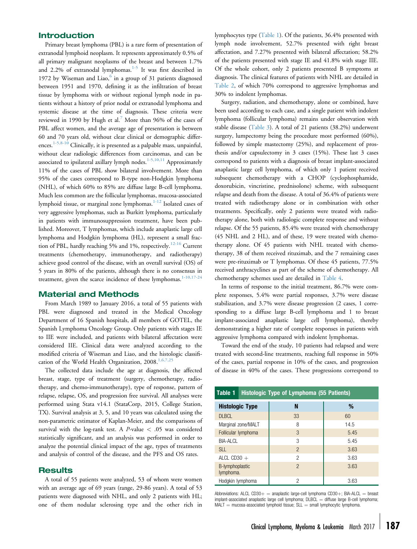## Introduction

Primary breast lymphoma (PBL) is a rare form of presentation of extranodal lymphoid neoplasm. It represents approximately 0.5% of all primary malignant neoplasms of the breast and between 1.7% and 2.2% of extranodal lymphomas. $1-5$  It was first described in 1972 by Wiseman and Liao, $6$  in a group of 31 patients diagnosed between 1951 and 1970, defining it as the infiltration of breast tissue by lymphoma with or without regional lymph node in patients without a history of prior nodal or extranodal lymphoma and systemic disease at the time of diagnosis. These criteria were reviewed in 1990 by Hugh et al.<sup>[7](#page-5-0)</sup> More than 96% of the cases of PBL affect women, and the average age of presentation is between 60 and 70 years old, without clear clinical or demographic differ-ences.<sup>[1-5,8-10](#page-5-0)</sup> Clinically, it is presented as a palpable mass, unpainful, without clear radiologic differences from carcinomas, and can be associated to ipsilateral axillary lymph nodes. $1-5,10,11$  Approximately 11% of the cases of PBL show bilateral involvement. More than 95% of the cases correspond to B-type non-Hodgkin lymphoma (NHL), of which 60% to 85% are diffuse large B-cell lymphoma. Much less common are the follicular lymphomas, mucosa-associated lymphoid tissue, or marginal zone lymphomas.<sup>[1-12](#page-5-0)</sup> Isolated cases of very aggressive lymphomas, such as Burkitt lymphoma, particularly in patients with immunosuppression treatment, have been published. Moreover, T lymphomas, which include anaplastic large cell lymphoma and Hodgkin lymphoma (HL), represent a small frac-tion of PBL, hardly reaching 5% and 1%, respectively.<sup>[12-16](#page-5-0)</sup> Current treatments (chemotherapy, immunotherapy, and radiotherapy) achieve good control of the disease, with an overall survival (OS) of 5 years in 80% of the patients, although there is no consensus in treatment, given the scarce incidence of these lymphomas.<sup>1-10,17-24</sup>

## Material and Methods

From March 1989 to January 2016, a total of 55 patients with PBL were diagnosed and treated in the Medical Oncology Department of 16 Spanish hospitals, all members of GOTEL, the Spanish Lymphoma Oncology Group. Only patients with stages IE to IIE were included, and patients with bilateral affectation were considered IIE. Clinical data were analyzed according to the modified criteria of Wiseman and Liao, and the histologic classification of the World Health Organization, 2008.<sup>1,6,7,25</sup>

The collected data include the age at diagnosis, the affected breast, stage, type of treatment (surgery, chemotherapy, radiotherapy, and chemo-immunotherapy), type of response, pattern of relapse, relapse, OS, and progression free survival. All analyses were performed using Stata v14.1 (StataCorp, 2015, College Station, TX). Survival analysis at 3, 5, and 10 years was calculated using the non-parametric estimator of Kaplan-Meier, and the comparisons of survival with the log-rank test. A  $P$ -value  $< .05$  was considered statistically significant, and an analysis was performed in order to analyze the potential clinical impact of the age, types of treatments and analysis of control of the disease, and the PFS and OS rates.

#### Results

A total of 55 patients were analyzed, 53 of whom were women with an average age of 69 years (range, 29-86 years). A total of 53 patients were diagnosed with NHL, and only 2 patients with HL; one of them nodular sclerosing type and the other rich in lymphocytes type (Table 1). Of the patients, 36.4% presented with lymph node involvement, 52.7% presented with right breast affectation, and 7.27% presented with bilateral affectation; 58.2% of the patients presented with stage IE and 41.8% with stage IIE. Of the whole cohort, only 2 patients presented B symptoms at diagnosis. The clinical features of patients with NHL are detailed in [Table 2,](#page-2-0) of which 70% correspond to aggressive lymphomas and 30% to indolent lymphomas.

Surgery, radiation, and chemotherapy, alone or combined, have been used according to each case, and a single patient with indolent lymphoma (follicular lymphoma) remains under observation with stable disease [\(Table 3](#page-2-0)). A total of 21 patients (38.2%) underwent surgery, lumpectomy being the procedure most performed (60%), followed by simple mastectomy (25%), and replacement of prosthesis and/or capsulectomy in 3 cases (15%). These last 3 cases correspond to patients with a diagnosis of breast implant-associated anaplastic large cell lymphoma, of which only 1 patient received subsequent chemotherapy with a CHOP (cyclophosphamide, doxorubicin, vincristine, prednisolone) scheme, with subsequent relapse and death from the disease. A total of 36.4% of patients were treated with radiotherapy alone or in combination with other treatments. Specifically, only 2 patients were treated with radiotherapy alone, both with radiologic complete response and without relapse. Of the 55 patients, 85.4% were treated with chemotherapy (45 NHL and 2 HL), and of these, 19 were treated with chemotherapy alone. Of 45 patients with NHL treated with chemotherapy, 38 of them received rituximab, and the 7 remaining cases were pre-rituximab or T lymphomas. Of these 45 patients, 77.5% received anthracyclines as part of the scheme of chemotherapy. All chemotherapy schemes used are detailed in [Table 4](#page-2-0).

In terms of response to the initial treatment, 86.7% were complete responses, 5.4% were partial responses, 3.7% were disease stabilization, and 3.7% were disease progression (2 cases, 1 corresponding to a diffuse large B-cell lymphoma and 1 to breast implant-associated anaplastic large cell lymphoma), thereby demonstrating a higher rate of complete responses in patients with aggressive lymphoma compared with indolent lymphomas.

Toward the end of the study, 10 patients had relapsed and were treated with second-line treatments, reaching full response in 50% of the cases, partial response in 10% of the cases, and progression of disease in 40% of the cases. These progressions correspond to

| Table 1                      | Histologic Type of Lymphoma (55 Patients) |                |      |  |  |  |
|------------------------------|-------------------------------------------|----------------|------|--|--|--|
| <b>Histologic Type</b>       |                                           | N              | %    |  |  |  |
| <b>DLBCL</b>                 |                                           | 33             | 60   |  |  |  |
| Marginal zone/MALT           |                                           | 8              | 14.5 |  |  |  |
| Follicular lymphoma          |                                           | 3              | 5.45 |  |  |  |
| BIA-ALCL                     |                                           | 3              | 5.45 |  |  |  |
| <b>SLL</b>                   |                                           | $\overline{2}$ | 3.63 |  |  |  |
| ALCL CD30 $+$                |                                           | 2              | 3.63 |  |  |  |
| B-lymphoplastic<br>lymphoma. |                                           | $\mathfrak{p}$ | 3.63 |  |  |  |
| Hodgkin lymphoma             |                                           | 2              | 3.63 |  |  |  |

Abbreviations: ALCL CD30+  $=$  anaplastic large-cell lymphoma CD30+; BIA-ALCL  $=$  breast implant-associated anaplastic large cell lymphoma; DLBCL = diffuse large B-cell lymphoma;  $MALT =$  mucosa-associated lymphoid tissue;  $SL =$  small lymphocytic lymphoma.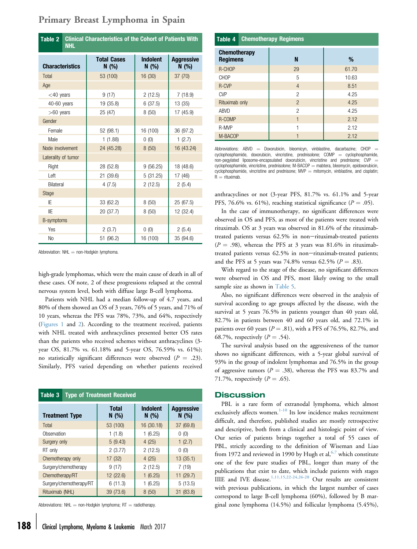| Table 2<br><b>Clinical Characteristics of the Cohort of Patients With</b><br><b>NHL</b> |                            |                         |                           |  |  |
|-----------------------------------------------------------------------------------------|----------------------------|-------------------------|---------------------------|--|--|
| <b>Characteristics</b>                                                                  | <b>Total Cases</b><br>N(%) | <b>Indolent</b><br>N(%) | <b>Aggressive</b><br>N(%) |  |  |
| Total                                                                                   | 53 (100)                   | 16 (30)                 | 37 (70)                   |  |  |
| Age                                                                                     |                            |                         |                           |  |  |
| $<$ 40 years                                                                            | 9(17)                      | 2(12.5)                 | 7(18.9)                   |  |  |
| 40-60 years                                                                             | 19 (35.8)                  | 6(37.5)                 | 13 (35)                   |  |  |
| $>60$ years                                                                             | 25 (47)                    | 8(50)                   | 17 (45.9)                 |  |  |
| Gender                                                                                  |                            |                         |                           |  |  |
| Female                                                                                  | 52 (98.1)                  | 16 (100)                | 36 (97.2)                 |  |  |
| Male                                                                                    | 1(1.88)                    | 0(0)                    | 1(2.7)                    |  |  |
| Node involvement                                                                        | 24 (45.28)                 | 8(50)                   | 16 (43.24)                |  |  |
| Laterality of tumor                                                                     |                            |                         |                           |  |  |
| Right                                                                                   | 28 (52.8)                  | 9(56.25)                | 18 (48.6)                 |  |  |
| Left                                                                                    | 21 (39.6)                  | 5(31.25)                | 17 (46)                   |  |  |
| <b>Bilateral</b>                                                                        | 4(7.5)                     | 2(12.5)                 | 2(5.4)                    |  |  |
| <b>Stage</b>                                                                            |                            |                         |                           |  |  |
| IE                                                                                      | 33 (62.2)                  | 8 (50)                  | 25 (67.5)                 |  |  |
| IIE                                                                                     | 20 (37.7)                  | 8(50)                   | 12 (32.4)                 |  |  |
| B-symptoms                                                                              |                            |                         |                           |  |  |
| Yes                                                                                     | 2(3.7)                     | 0(0)                    | 2(5.4)                    |  |  |
| N <sub>o</sub>                                                                          | 51 (96.2)                  | 16 (100)                | 35 (94.6)                 |  |  |

# <span id="page-2-0"></span>Primary Breast Lymphoma in Spain

Abbreviation:  $NHL$  = non-Hodgkin lymphoma.

high-grade lymphomas, which were the main cause of death in all of these cases. Of note, 2 of these progressions relapsed at the central nervous system level, both with diffuse large B-cell lymphoma.

Patients with NHL had a median follow-up of 4.7 years, and 80% of them showed an OS of 3 years, 76% of 5 years, and 71% of 10 years, whereas the PFS was 78%, 73%, and 64%, respectively ([Figures 1](#page-3-0) and [2](#page-3-0)). According to the treatment received, patients with NHL treated with anthracyclines presented better OS rates than the patients who received schemes without anthracyclines (3 year OS, 81.7% vs. 61.18% and 5-year OS, 76.59% vs. 61%); no statistically significant differences were observed ( $P = .23$ ). Similarly, PFS varied depending on whether patients received

| Table 3                 | <b>Type of Treatment Received</b> |                      |                         |                           |  |
|-------------------------|-----------------------------------|----------------------|-------------------------|---------------------------|--|
| <b>Treatment Type</b>   |                                   | <b>Total</b><br>N(%) | <b>Indolent</b><br>N(%) | <b>Aggressive</b><br>N(%) |  |
| Total                   |                                   | 53 (100)             | 16 (30.18)              | 37 (69.8)                 |  |
| Observation             |                                   | 1(1.8)               | 1(6.25)                 | 0(0)                      |  |
| Surgery only            |                                   | 5(9.43)              | 4(25)                   | 1(2.7)                    |  |
| RT only                 |                                   | 2(3.77)              | 2(12.5)                 | 0(0)                      |  |
| Chemotherapy only       |                                   | 17 (32)              | 4(25)                   | 13(35.1)                  |  |
| Surgery/chemotherapy    |                                   | 9(17)                | 2(12.5)                 | 7(19)                     |  |
| Chemotherapy/RT         |                                   | 12 (22.6)            | 1(6.25)                 | 11 (29.7)                 |  |
| Surgery/chemotherapy/RT |                                   | 6(11.3)              | 1(6.25)                 | 5(13.5)                   |  |
| Rituximab (NHL)         |                                   | 39 (73.6)            | 8(50)                   | 31 (83.8)                 |  |

Abbreviations: NHL  $=$  non-Hodgkin lymphoma; RT  $=$  radiotherapy.

| Table 4                                | <b>Chemotherapy Regimens</b> |                        |       |  |  |  |
|----------------------------------------|------------------------------|------------------------|-------|--|--|--|
| <b>Chemotherapy</b><br><b>Regimens</b> |                              | N                      | %     |  |  |  |
| R-CHOP                                 |                              | 29                     | 61.70 |  |  |  |
| CHOP                                   |                              | 5                      | 10.63 |  |  |  |
| <b>R-CVP</b>                           |                              | $\overline{4}$         | 8.51  |  |  |  |
| <b>CVP</b>                             |                              | $\mathfrak{p}$         | 4.25  |  |  |  |
| Rituximab only                         |                              | $\overline{2}$<br>4.25 |       |  |  |  |
| <b>ABVD</b>                            |                              | $\mathfrak{p}$<br>4.25 |       |  |  |  |
| R-COMP                                 |                              | 2.12<br>1              |       |  |  |  |
| R-MVP                                  |                              |                        | 2.12  |  |  |  |
| M-BACOP                                |                              |                        | 2.12  |  |  |  |

Abbreviations: ABVD  $=$  Doxorubicin, bleomicyn, vinblastine, dacarbazine; CHOP  $=$  $cycloplogphamide$ , doxorubicin, vincristine, prednisolone;  $COMP$  =  $cycloplogphamide$ , non-pegylated liposome-encapsulated doxorubicin, vincristine and prednisone;  $CVP =$ cyclophosphamide, vincristine, prednisolone; M-BACOP = mabtera, bleomycin, epidoxorubicin, cyclophosphamide, vincristine and prednisone;  $MVP =$  mitomycin, vinblastine, and cisplatin;  $R =$  rituximab.

anthracyclines or not (3-year PFS, 81.7% vs. 61.1% and 5-year PFS, 76.6% vs. 61%), reaching statistical significance ( $P = .05$ ).

In the case of immunotherapy, no significant differences were observed in OS and PFS, as most of the patients were treated with rituximab. OS at 3 years was observed in 81.6% of the rituximabtreated patients versus 62.5% in non-rituximab-treated patients  $(P = .98)$ , whereas the PFS at 3 years was 81.6% in rituximabtreated patients versus 62.5% in non-rituximab-treated patients; and the PFS at 5 years was 74.8% versus 62.5% ( $P = .83$ ).

With regard to the stage of the disease, no significant differences were observed in OS and PFS, most likely owing to the small sample size as shown in [Table 5](#page-4-0).

Also, no significant differences were observed in the analysis of survival according to age groups affected by the disease, with the survival at 5 years 76.5% in patients younger than 40 years old, 82.7% in patients between 40 and 60 years old, and 72.1% in patients over 60 years ( $P = .81$ ), with a PFS of 76.5%, 82.7%, and 68.7%, respectively  $(P = .54)$ .

The survival analysis based on the aggressiveness of the tumor shows no significant differences, with a 5-year global survival of 93% in the group of indolent lymphomas and 76.5% in the group of aggressive tumors ( $P = .38$ ), whereas the PFS was 83.7% and 71.7%, respectively  $(P = .65)$ .

#### **Discussion**

PBL is a rare form of extranodal lymphoma, which almost exclusively affects women.<sup>[1-10](#page-5-0)</sup> Its low incidence makes recruitment difficult, and therefore, published studies are mostly retrospective and descriptive, both from a clinical and histologic point of view. Our series of patients brings together a total of 55 cases of PBL, strictly according to the definition of Wiseman and Liao from 1972 and reviewed in 1990 by Hugh et al,  $6.7$  which constitute one of the few pure studies of PBL, longer than many of the publications that exist to date, which include patients with stages IIIE and IVE disease.<sup>[1,11,15,22-24,26-28](#page-5-0)</sup> Our results are consistent with previous publications, in which the largest number of cases correspond to large B-cell lymphoma (60%), followed by B marginal zone lymphoma (14.5%) and follicular lymphoma (5.45%),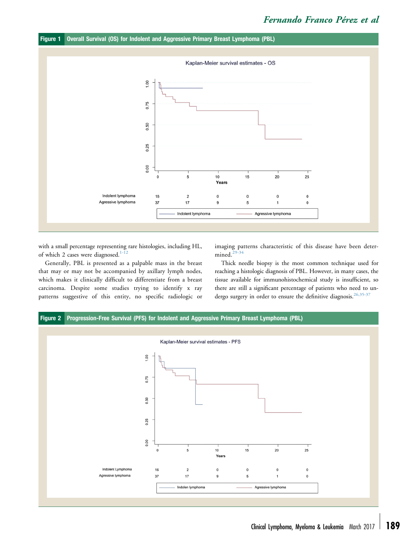<span id="page-3-0"></span>



with a small percentage representing rare histologies, including HL, of which 2 cases were diagnosed.<sup>1-12</sup>

Generally, PBL is presented as a palpable mass in the breast that may or may not be accompanied by axillary lymph nodes, which makes it clinically difficult to differentiate from a breast carcinoma. Despite some studies trying to identify x ray patterns suggestive of this entity, no specific radiologic or imaging patterns characteristic of this disease have been deter-mined.<sup>[29-34](#page-5-0)</sup>

Thick needle biopsy is the most common technique used for reaching a histologic diagnosis of PBL. However, in many cases, the tissue available for immunohistochemical study is insufficient, so there are still a significant percentage of patients who need to un-dergo surgery in order to ensure the definitive diagnosis.<sup>[26,35-37](#page-5-0)</sup>

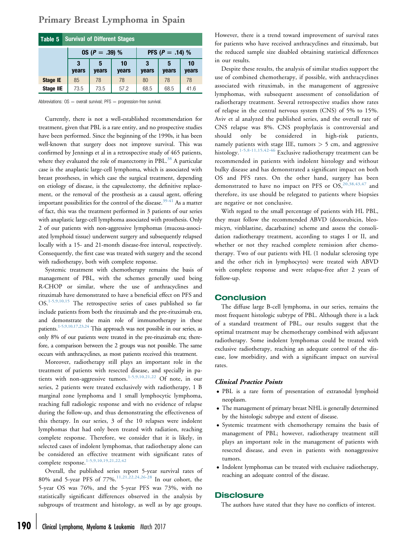| Table 5          | <b>Survival of Different Stages</b> |                  |             |                            |            |             |
|------------------|-------------------------------------|------------------|-------------|----------------------------|------------|-------------|
|                  |                                     | $OS (P = .39) %$ |             | <b>PFS</b> ( $P = .14$ ) % |            |             |
|                  | 3<br>years                          | 5<br>years       | 10<br>years | 3<br>years                 | 5<br>years | 10<br>years |
| Stage IE         | 85                                  | 78               | 78          | 80                         | 78         | 78          |
| <b>Stage IIE</b> | 73.5                                | 73.5             | 57.2        | 68.5                       | 68.5       | 41.6        |

## <span id="page-4-0"></span>Primary Breast Lymphoma in Spain

Abbreviations:  $OS =$  overall survival; PFS  $=$  progression-free survival.

Currently, there is not a well-established recommendation for treatment, given that PBL is a rare entity, and no prospective studies have been performed. Since the beginning of the 1990s, it has been well-known that surgery does not improve survival. This was confirmed by Jennings et al in a retrospective study of 465 patients, where they evaluated the role of mastectomy in PBL.<sup>[38](#page-5-0)</sup> A particular case is the anaplastic large-cell lymphoma, which is associated with breast prostheses, in which case the surgical treatment, depending on etiology of disease, is the capsulectomy, the definitive replacement, or the removal of the prosthesis as a causal agent, offering important possibilities for the control of the disease.<sup>[39-41](#page-5-0)</sup> As a matter of fact, this was the treatment performed in 3 patients of our series with anaplastic large-cell lymphoma associated with prosthesis. Only 2 of our patients with non-aggressive lymphomas (mucosa-associated lymphoid tissue) underwent surgery and subsequently relapsed locally with a 15- and 21-month disease-free interval, respectively. Consequently, the first case was treated with surgery and the second with radiotherapy, both with complete response.

Systemic treatment with chemotherapy remains the basis of management of PBL, with the schemes generally used being R-CHOP or similar, where the use of anthracyclines and rituximab have demonstrated to have a beneficial effect on PFS and OS.[1-5,9,10,15](#page-5-0) The retrospective series of cases published so far include patients from both the rituximab and the pre-rituximab era, and demonstrate the main role of immunotherapy in these patients[.1-5,9,10,17,23,24](#page-5-0) This approach was not possible in our series, as only 8% of our patients were treated in the pre-rituximab era; therefore, a comparison between the 2 groups was not possible. The same occurs with anthracyclines, as most patients received this treatment.

Moreover, radiotherapy still plays an important role in the treatment of patients with resected disease, and specially in pa-tients with non-aggressive tumors.<sup>[1-5,9,10,21,22](#page-5-0)</sup> Of note, in our series, 2 patients were treated exclusively with radiotherapy, 1 B marginal zone lymphoma and 1 small lymphocytic lymphoma, reaching full radiologic response and with no evidence of relapse during the follow-up, and thus demonstrating the effectiveness of this therapy. In our series, 3 of the 10 relapses were indolent lymphomas that had only been treated with radiation, reaching complete response. Therefore, we consider that it is likely, in selected cases of indolent lymphomas, that radiotherapy alone can be considered an effective treatment with significant rates of complete response.[1-5,9,10,19,21,22,42](#page-5-0)

Overall, the published series report 5-year survival rates of 80% and 5-year PFS of 77%.[11,21,22,24,26-28](#page-5-0) In our cohort, the 5-year OS was 76%, and the 5-year PFS was 73%, with no statistically significant differences observed in the analysis by subgroups of treatment and histology, as well as by age groups.

However, there is a trend toward improvement of survival rates for patients who have received anthracyclines and rituximab, but the reduced sample size disabled obtaining statistical differences in our results.

Despite these results, the analysis of similar studies support the use of combined chemotherapy, if possible, with anthracyclines associated with rituximab, in the management of aggressive lymphomas, with subsequent assessment of consolidation of radiotherapy treatment. Several retrospective studies show rates of relapse in the central nervous system (CNS) of 5% to 15%. Aviv et al analyzed the published series, and the overall rate of CNS relapse was 8%. CNS prophylaxis is controversial and should only be considered in high-risk patients, namely patients with stage IIE, tumors > 5 cm, and aggressive histology.<sup>[1-5,8-11,15,42-46](#page-5-0)</sup> Exclusive radiotherapy treatment can be recommended in patients with indolent histology and without bulky disease and has demonstrated a significant impact on both OS and PFS rates. On the other hand, surgery has been demonstrated to have no impact on PFS or OS,<sup>[20,38,43,47](#page-5-0)</sup> and therefore, its use should be relegated to patients where biopsies are negative or not conclusive.

With regard to the small percentage of patients with HL PBL, they must follow the recommended ABVD (doxorubicin, bleomicyn, vinblastine, dacarbazine) scheme and assess the consolidation radiotherapy treatment, according to stages I or II, and whether or not they reached complete remission after chemotherapy. Two of our patients with HL (1 nodular sclerosing type and the other rich in lymphocytes) were treated with ABVD with complete response and were relapse-free after 2 years of follow-up.

### Conclusion

The diffuse large B-cell lymphoma, in our series, remains the most frequent histologic subtype of PBL. Although there is a lack of a standard treatment of PBL, our results suggest that the optimal treatment may be chemotherapy combined with adjuvant radiotherapy. Some indolent lymphomas could be treated with exclusive radiotherapy, reaching an adequate control of the disease, low morbidity, and with a significant impact on survival rates.

#### Clinical Practice Points

- PBL is a rare form of presentation of extranodal lymphoid neoplasm.
- The management of primary breast NHL is generally determined by the histologic subtype and extent of disease.
- Systemic treatment with chemotherapy remains the basis of management of PBL; however, radiotherapy treatment still plays an important role in the management of patients with resected disease, and even in patients with nonaggressive tumors.
- Indolent lymphomas can be treated with exclusive radiotherapy, reaching an adequate control of the disease.

## **Disclosure**

The authors have stated that they have no conflicts of interest.